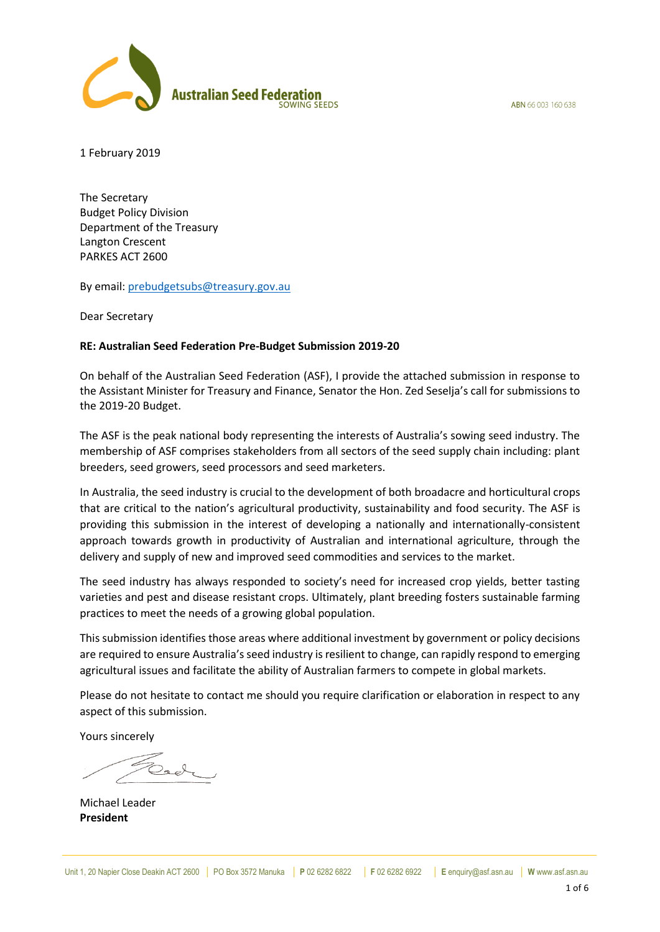ARN 66,003,160,638



1 February 2019

The Secretary Budget Policy Division Department of the Treasury Langton Crescent PARKES ACT 2600

By email: [prebudgetsubs@treasury.gov.au](mailto:prebudgetsubs@treasury.gov.au)

Dear Secretary

#### **RE: Australian Seed Federation Pre-Budget Submission 2019-20**

On behalf of the Australian Seed Federation (ASF), I provide the attached submission in response to the Assistant Minister for Treasury and Finance, Senator the Hon. Zed Seselja's call for submissions to the 2019-20 Budget.

The ASF is the peak national body representing the interests of Australia's sowing seed industry. The membership of ASF comprises stakeholders from all sectors of the seed supply chain including: plant breeders, seed growers, seed processors and seed marketers.

In Australia, the seed industry is crucial to the development of both broadacre and horticultural crops that are critical to the nation's agricultural productivity, sustainability and food security. The ASF is providing this submission in the interest of developing a nationally and internationally-consistent approach towards growth in productivity of Australian and international agriculture, through the delivery and supply of new and improved seed commodities and services to the market.

The seed industry has always responded to society's need for increased crop yields, better tasting varieties and pest and disease resistant crops. Ultimately, plant breeding fosters sustainable farming practices to meet the needs of a growing global population.

This submission identifies those areas where additional investment by government or policy decisions are required to ensure Australia's seed industry is resilient to change, can rapidly respond to emerging agricultural issues and facilitate the ability of Australian farmers to compete in global markets.

Please do not hesitate to contact me should you require clarification or elaboration in respect to any aspect of this submission.

Yours sincerely

Michael Leader **President**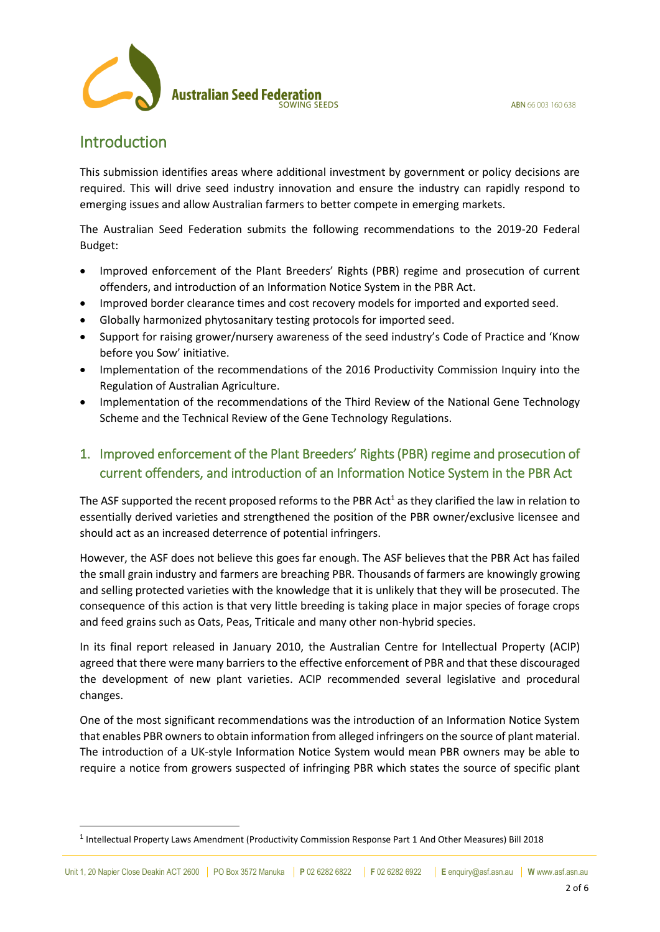

# Introduction

**.** 

This submission identifies areas where additional investment by government or policy decisions are required. This will drive seed industry innovation and ensure the industry can rapidly respond to emerging issues and allow Australian farmers to better compete in emerging markets.

The Australian Seed Federation submits the following recommendations to the 2019-20 Federal Budget:

- Improved enforcement of the Plant Breeders' Rights (PBR) regime and prosecution of current offenders, and introduction of an Information Notice System in the PBR Act.
- Improved border clearance times and cost recovery models for imported and exported seed.
- Globally harmonized phytosanitary testing protocols for imported seed.
- Support for raising grower/nursery awareness of the seed industry's Code of Practice and 'Know before you Sow' initiative.
- Implementation of the recommendations of the 2016 Productivity Commission Inquiry into the Regulation of Australian Agriculture.
- Implementation of the recommendations of the Third Review of the National Gene Technology Scheme and the Technical Review of the Gene Technology Regulations.

# 1. Improved enforcement of the Plant Breeders' Rights (PBR) regime and prosecution of current offenders, and introduction of an Information Notice System in the PBR Act

The ASF supported the recent proposed reforms to the PBR Act<sup>1</sup> as they clarified the law in relation to essentially derived varieties and strengthened the position of the PBR owner/exclusive licensee and should act as an increased deterrence of potential infringers.

However, the ASF does not believe this goes far enough. The ASF believes that the PBR Act has failed the small grain industry and farmers are breaching PBR. Thousands of farmers are knowingly growing and selling protected varieties with the knowledge that it is unlikely that they will be prosecuted. The consequence of this action is that very little breeding is taking place in major species of forage crops and feed grains such as Oats, Peas, Triticale and many other non-hybrid species.

In its final report released in January 2010, the Australian Centre for Intellectual Property (ACIP) agreed that there were many barriers to the effective enforcement of PBR and that these discouraged the development of new plant varieties. ACIP recommended several legislative and procedural changes.

One of the most significant recommendations was the introduction of an Information Notice System that enables PBR owners to obtain information from alleged infringers on the source of plant material. The introduction of a UK-style Information Notice System would mean PBR owners may be able to require a notice from growers suspected of infringing PBR which states the source of specific plant

<sup>&</sup>lt;sup>1</sup> Intellectual Property Laws Amendment (Productivity Commission Response Part 1 And Other Measures) Bill 2018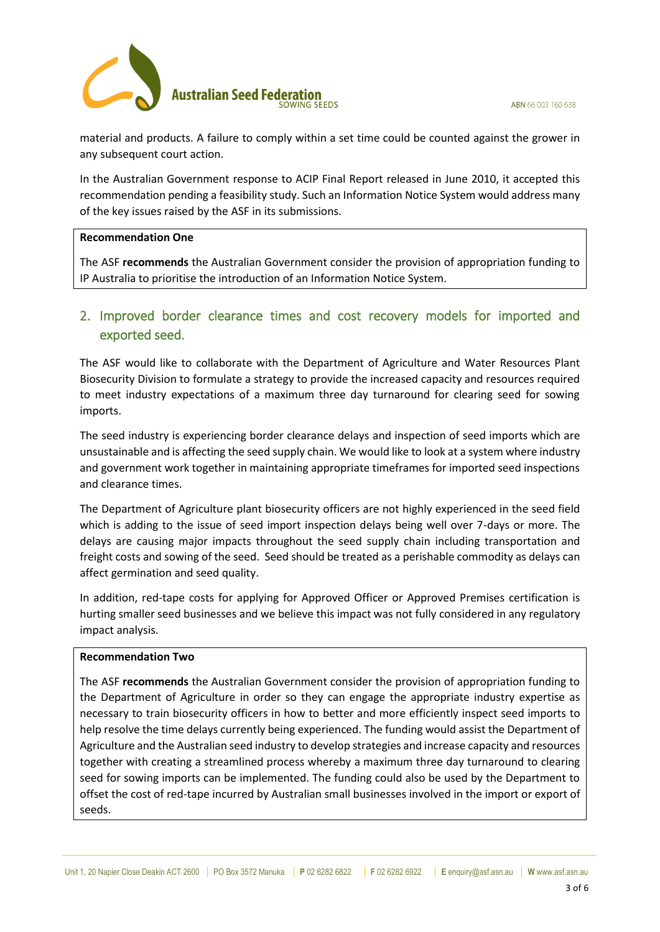ARN 66,003,160,638



material and products. A failure to comply within a set time could be counted against the grower in any subsequent court action.

In the Australian Government response to ACIP Final Report released in June 2010, it accepted this recommendation pending a feasibility study. Such an Information Notice System would address many of the key issues raised by the ASF in its submissions.

#### **Recommendation One**

The ASF **recommends** the Australian Government consider the provision of appropriation funding to IP Australia to prioritise the introduction of an Information Notice System.

# 2. Improved border clearance times and cost recovery models for imported and exported seed.

The ASF would like to collaborate with the Department of Agriculture and Water Resources Plant Biosecurity Division to formulate a strategy to provide the increased capacity and resources required to meet industry expectations of a maximum three day turnaround for clearing seed for sowing imports.

The seed industry is experiencing border clearance delays and inspection of seed imports which are unsustainable and is affecting the seed supply chain. We would like to look at a system where industry and government work together in maintaining appropriate timeframes for imported seed inspections and clearance times.

The Department of Agriculture plant biosecurity officers are not highly experienced in the seed field which is adding to the issue of seed import inspection delays being well over 7-days or more. The delays are causing major impacts throughout the seed supply chain including transportation and freight costs and sowing of the seed. Seed should be treated as a perishable commodity as delays can affect germination and seed quality.

In addition, red-tape costs for applying for Approved Officer or Approved Premises certification is hurting smaller seed businesses and we believe this impact was not fully considered in any regulatory impact analysis.

#### **Recommendation Two**

The ASF **recommends** the Australian Government consider the provision of appropriation funding to the Department of Agriculture in order so they can engage the appropriate industry expertise as necessary to train biosecurity officers in how to better and more efficiently inspect seed imports to help resolve the time delays currently being experienced. The funding would assist the Department of Agriculture and the Australian seed industry to develop strategies and increase capacity and resources together with creating a streamlined process whereby a maximum three day turnaround to clearing seed for sowing imports can be implemented. The funding could also be used by the Department to offset the cost of red-tape incurred by Australian small businesses involved in the import or export of seeds.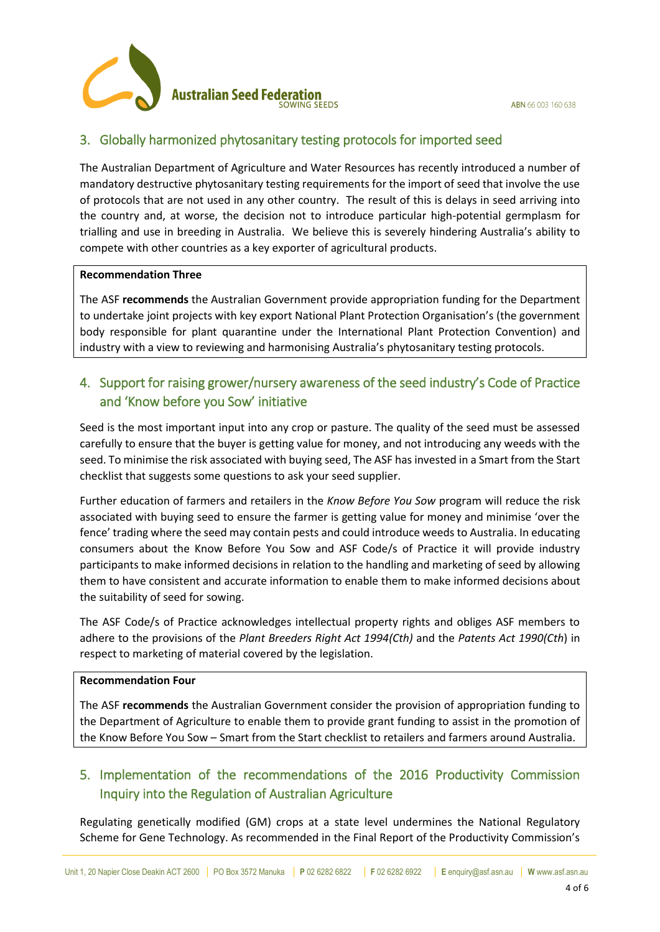

### 3. Globally harmonized phytosanitary testing protocols for imported seed

The Australian Department of Agriculture and Water Resources has recently introduced a number of mandatory destructive phytosanitary testing requirements for the import of seed that involve the use of protocols that are not used in any other country. The result of this is delays in seed arriving into the country and, at worse, the decision not to introduce particular high-potential germplasm for trialling and use in breeding in Australia. We believe this is severely hindering Australia's ability to compete with other countries as a key exporter of agricultural products.

#### **Recommendation Three**

The ASF **recommends** the Australian Government provide appropriation funding for the Department to undertake joint projects with key export National Plant Protection Organisation's (the government body responsible for plant quarantine under the International Plant Protection Convention) and industry with a view to reviewing and harmonising Australia's phytosanitary testing protocols.

## 4. Support for raising grower/nursery awareness of the seed industry's Code of Practice and 'Know before you Sow' initiative

Seed is the most important input into any crop or pasture. The quality of the seed must be assessed carefully to ensure that the buyer is getting value for money, and not introducing any weeds with the seed. To minimise the risk associated with buying seed, The ASF has invested in a Smart from the Start checklist that suggests some questions to ask your seed supplier.

Further education of farmers and retailers in the *Know Before You Sow* program will reduce the risk associated with buying seed to ensure the farmer is getting value for money and minimise 'over the fence' trading where the seed may contain pests and could introduce weeds to Australia. In educating consumers about the Know Before You Sow and ASF Code/s of Practice it will provide industry participants to make informed decisions in relation to the handling and marketing of seed by allowing them to have consistent and accurate information to enable them to make informed decisions about the suitability of seed for sowing.

The ASF Code/s of Practice acknowledges intellectual property rights and obliges ASF members to adhere to the provisions of the *Plant Breeders Right Act 1994(Cth)* and the *Patents Act 1990(Cth*) in respect to marketing of material covered by the legislation.

#### **Recommendation Four**

The ASF **recommends** the Australian Government consider the provision of appropriation funding to the Department of Agriculture to enable them to provide grant funding to assist in the promotion of the Know Before You Sow – Smart from the Start checklist to retailers and farmers around Australia.

# 5. Implementation of the recommendations of the 2016 Productivity Commission Inquiry into the Regulation of Australian Agriculture

Regulating genetically modified (GM) crops at a state level undermines the National Regulatory Scheme for Gene Technology. As recommended in the Final Report of the Productivity Commission's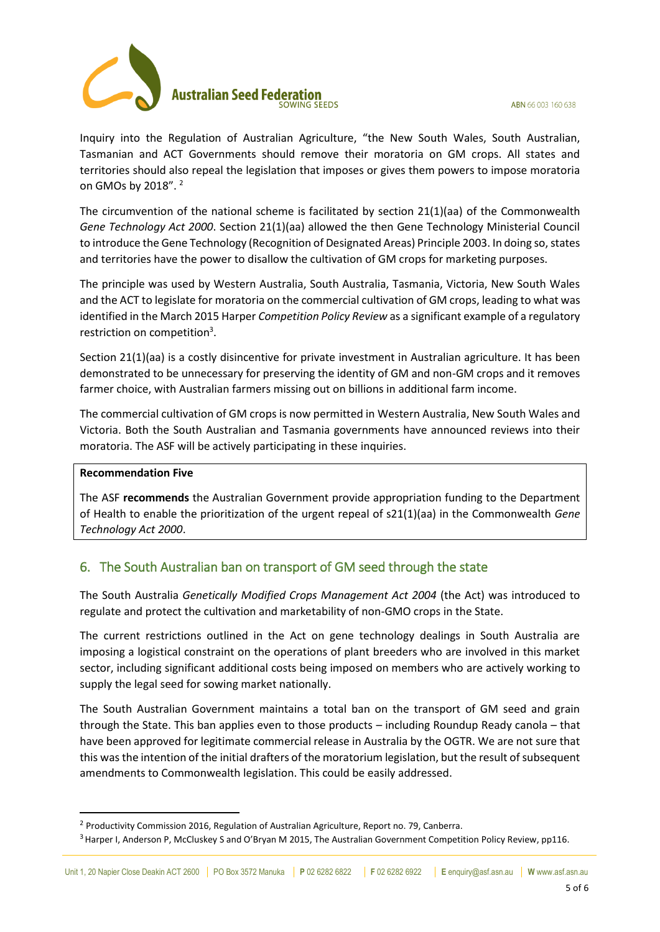



Inquiry into the Regulation of Australian Agriculture, "the New South Wales, South Australian, Tasmanian and ACT Governments should remove their moratoria on GM crops. All states and territories should also repeal the legislation that imposes or gives them powers to impose moratoria on GMOs by 2018". <sup>2</sup>

The circumvention of the national scheme is facilitated by section 21(1)(aa) of the Commonwealth *Gene Technology Act 2000*. Section 21(1)(aa) allowed the then Gene Technology Ministerial Council to introduce the Gene Technology (Recognition of Designated Areas) Principle 2003. In doing so, states and territories have the power to disallow the cultivation of GM crops for marketing purposes.

The principle was used by Western Australia, South Australia, Tasmania, Victoria, New South Wales and the ACT to legislate for moratoria on the commercial cultivation of GM crops, leading to what was identified in the March 2015 Harper *Competition Policy Review* as a significant example of a regulatory restriction on competition<sup>3</sup>.

Section 21(1)(aa) is a costly disincentive for private investment in Australian agriculture. It has been demonstrated to be unnecessary for preserving the identity of GM and non-GM crops and it removes farmer choice, with Australian farmers missing out on billions in additional farm income.

The commercial cultivation of GM crops is now permitted in Western Australia, New South Wales and Victoria. Both the South Australian and Tasmania governments have announced reviews into their moratoria. The ASF will be actively participating in these inquiries.

### **Recommendation Five**

1

The ASF **recommends** the Australian Government provide appropriation funding to the Department of Health to enable the prioritization of the urgent repeal of s21(1)(aa) in the Commonwealth *Gene Technology Act 2000*.

### 6. The South Australian ban on transport of GM seed through the state

The South Australia *Genetically Modified Crops Management Act 2004* (the Act) was introduced to regulate and protect the cultivation and marketability of non-GMO crops in the State.

The current restrictions outlined in the Act on gene technology dealings in South Australia are imposing a logistical constraint on the operations of plant breeders who are involved in this market sector, including significant additional costs being imposed on members who are actively working to supply the legal seed for sowing market nationally.

The South Australian Government maintains a total ban on the transport of GM seed and grain through the State. This ban applies even to those products – including Roundup Ready canola – that have been approved for legitimate commercial release in Australia by the OGTR. We are not sure that this was the intention of the initial drafters of the moratorium legislation, but the result of subsequent amendments to Commonwealth legislation. This could be easily addressed.

<sup>2</sup> Productivity Commission 2016, Regulation of Australian Agriculture, Report no. 79, Canberra.

<sup>&</sup>lt;sup>3</sup> Harper I, Anderson P, McCluskey S and O'Bryan M 2015, The Australian Government Competition Policy Review, pp116.